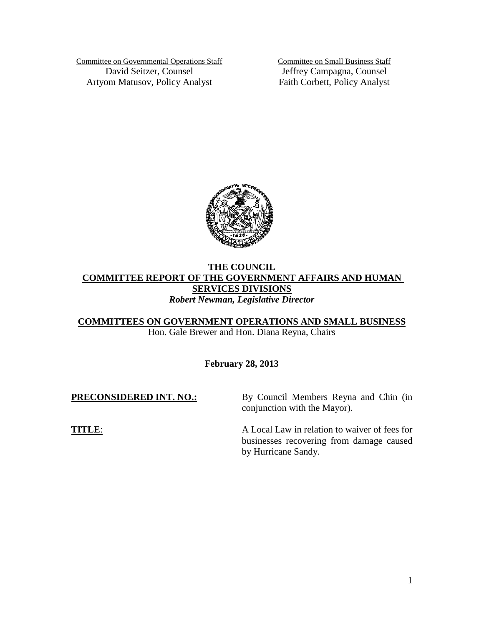Committee on Governmental Operations Staff David Seitzer, Counsel Artyom Matusov, Policy Analyst

Committee on Small Business Staff Jeffrey Campagna, Counsel Faith Corbett, Policy Analyst



# **THE COUNCIL COMMITTEE REPORT OF THE GOVERNMENT AFFAIRS AND HUMAN SERVICES DIVISIONS** *Robert Newman, Legislative Director*

**COMMITTEES ON GOVERNMENT OPERATIONS AND SMALL BUSINESS**

Hon. Gale Brewer and Hon. Diana Reyna, Chairs

**February 28, 2013**

| <b>PRECONSIDERED INT. NO.:</b> | By Council Members Reyna and Chin (in<br>conjunction with the Mayor).                                            |
|--------------------------------|------------------------------------------------------------------------------------------------------------------|
| TITLE:                         | A Local Law in relation to waiver of fees for<br>businesses recovering from damage caused<br>by Hurricane Sandy. |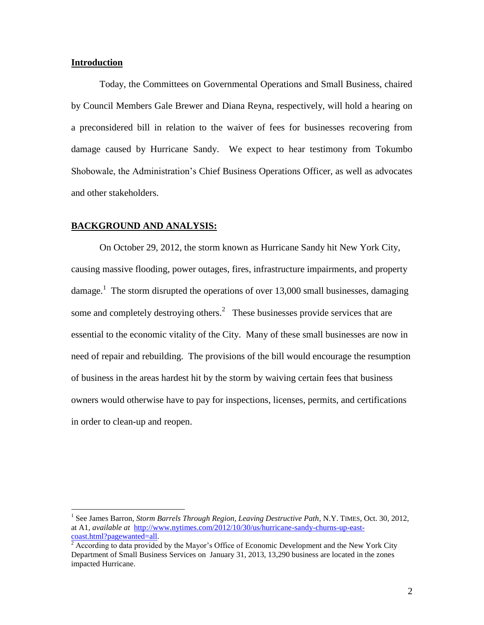### **Introduction**

 $\overline{a}$ 

Today, the Committees on Governmental Operations and Small Business, chaired by Council Members Gale Brewer and Diana Reyna, respectively, will hold a hearing on a preconsidered bill in relation to the waiver of fees for businesses recovering from damage caused by Hurricane Sandy. We expect to hear testimony from Tokumbo Shobowale, the Administration's Chief Business Operations Officer, as well as advocates and other stakeholders.

## **BACKGROUND AND ANALYSIS:**

On October 29, 2012, the storm known as Hurricane Sandy hit New York City, causing massive flooding, power outages, fires, infrastructure impairments, and property damage.<sup>1</sup> The storm disrupted the operations of over 13,000 small businesses, damaging some and completely destroying others.<sup>2</sup> These businesses provide services that are essential to the economic vitality of the City. Many of these small businesses are now in need of repair and rebuilding. The provisions of the bill would encourage the resumption of business in the areas hardest hit by the storm by waiving certain fees that business owners would otherwise have to pay for inspections, licenses, permits, and certifications in order to clean-up and reopen.

<sup>&</sup>lt;sup>1</sup> See James Barron, *Storm Barrels Through Region, Leaving Destructive Path*, N.Y. TIMES, Oct. 30, 2012, at A1, *available at* [http://www.nytimes.com/2012/10/30/us/hurricane-sandy-churns-up-east](http://www.nytimes.com/2012/10/30/us/hurricane-sandy-churns-up-east-coast.html?pagewanted=all)[coast.html?pagewanted=all.](http://www.nytimes.com/2012/10/30/us/hurricane-sandy-churns-up-east-coast.html?pagewanted=all)

<sup>&</sup>lt;sup>2</sup> According to data provided by the Mayor's Office of Economic Development and the New York City Department of Small Business Services on January 31, 2013, 13,290 business are located in the zones impacted Hurricane.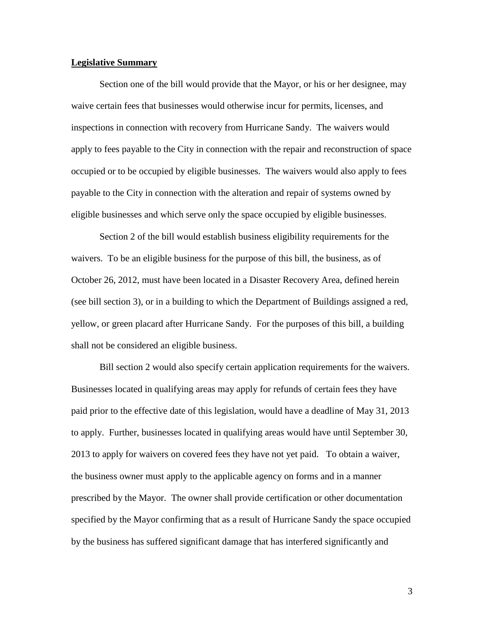### **Legislative Summary**

Section one of the bill would provide that the Mayor, or his or her designee, may waive certain fees that businesses would otherwise incur for permits, licenses, and inspections in connection with recovery from Hurricane Sandy. The waivers would apply to fees payable to the City in connection with the repair and reconstruction of space occupied or to be occupied by eligible businesses. The waivers would also apply to fees payable to the City in connection with the alteration and repair of systems owned by eligible businesses and which serve only the space occupied by eligible businesses.

Section 2 of the bill would establish business eligibility requirements for the waivers. To be an eligible business for the purpose of this bill, the business, as of October 26, 2012, must have been located in a Disaster Recovery Area, defined herein (see bill section 3), or in a building to which the Department of Buildings assigned a red, yellow, or green placard after Hurricane Sandy. For the purposes of this bill, a building shall not be considered an eligible business.

Bill section 2 would also specify certain application requirements for the waivers. Businesses located in qualifying areas may apply for refunds of certain fees they have paid prior to the effective date of this legislation, would have a deadline of May 31, 2013 to apply. Further, businesses located in qualifying areas would have until September 30, 2013 to apply for waivers on covered fees they have not yet paid. To obtain a waiver, the business owner must apply to the applicable agency on forms and in a manner prescribed by the Mayor. The owner shall provide certification or other documentation specified by the Mayor confirming that as a result of Hurricane Sandy the space occupied by the business has suffered significant damage that has interfered significantly and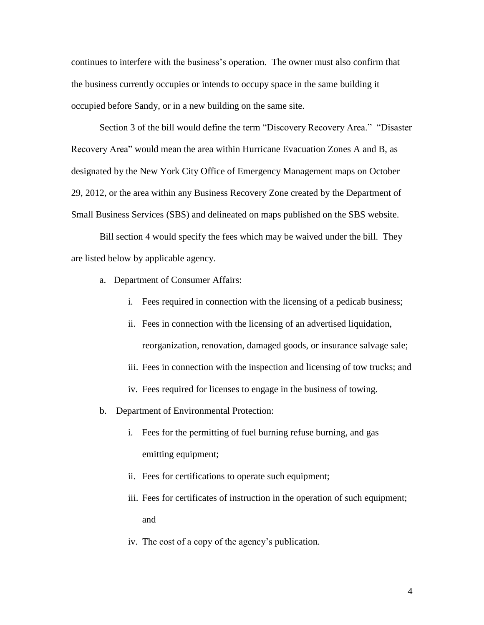continues to interfere with the business's operation. The owner must also confirm that the business currently occupies or intends to occupy space in the same building it occupied before Sandy, or in a new building on the same site.

Section 3 of the bill would define the term "Discovery Recovery Area." "Disaster Recovery Area" would mean the area within Hurricane Evacuation Zones A and B, as designated by the New York City Office of Emergency Management maps on October 29, 2012, or the area within any Business Recovery Zone created by the Department of Small Business Services (SBS) and delineated on maps published on the SBS website.

Bill section 4 would specify the fees which may be waived under the bill. They are listed below by applicable agency.

- a. Department of Consumer Affairs:
	- i. Fees required in connection with the licensing of a pedicab business;
	- ii. Fees in connection with the licensing of an advertised liquidation, reorganization, renovation, damaged goods, or insurance salvage sale;
	- iii. Fees in connection with the inspection and licensing of tow trucks; and
	- iv. Fees required for licenses to engage in the business of towing.
- b. Department of Environmental Protection:
	- i. Fees for the permitting of fuel burning refuse burning, and gas emitting equipment;
	- ii. Fees for certifications to operate such equipment;
	- iii. Fees for certificates of instruction in the operation of such equipment; and
	- iv. The cost of a copy of the agency's publication.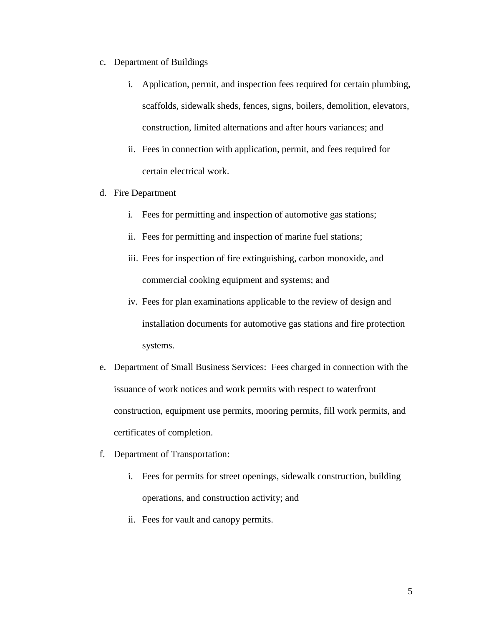- c. Department of Buildings
	- i. Application, permit, and inspection fees required for certain plumbing, scaffolds, sidewalk sheds, fences, signs, boilers, demolition, elevators, construction, limited alternations and after hours variances; and
	- ii. Fees in connection with application, permit, and fees required for certain electrical work.
- d. Fire Department
	- i. Fees for permitting and inspection of automotive gas stations;
	- ii. Fees for permitting and inspection of marine fuel stations;
	- iii. Fees for inspection of fire extinguishing, carbon monoxide, and commercial cooking equipment and systems; and
	- iv. Fees for plan examinations applicable to the review of design and installation documents for automotive gas stations and fire protection systems.
- e. Department of Small Business Services: Fees charged in connection with the issuance of work notices and work permits with respect to waterfront construction, equipment use permits, mooring permits, fill work permits, and certificates of completion.
- f. Department of Transportation:
	- i. Fees for permits for street openings, sidewalk construction, building operations, and construction activity; and
	- ii. Fees for vault and canopy permits.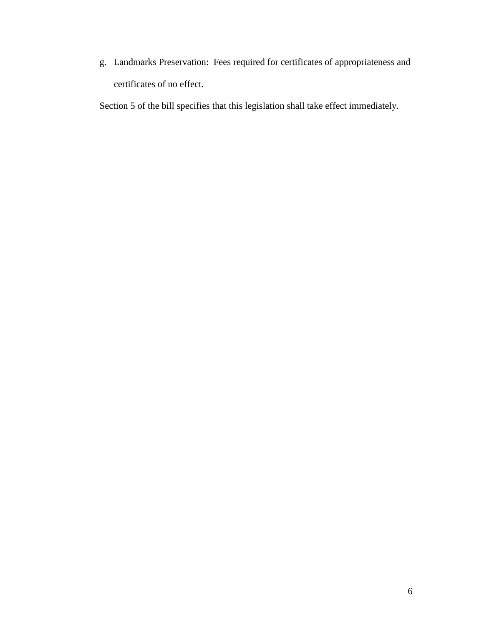g. Landmarks Preservation: Fees required for certificates of appropriateness and certificates of no effect.

Section 5 of the bill specifies that this legislation shall take effect immediately.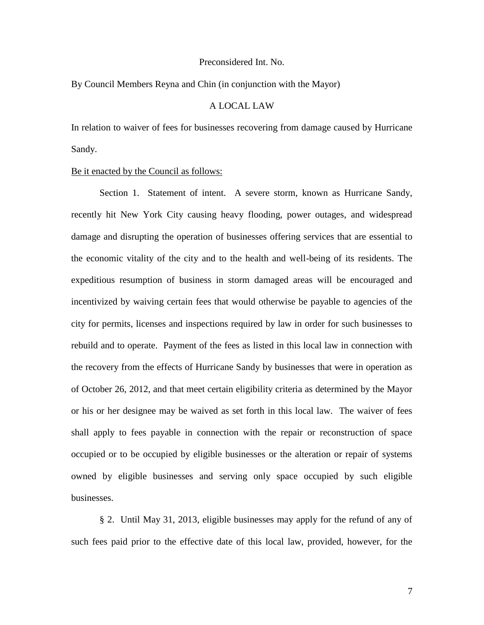#### Preconsidered Int. No.

### By Council Members Reyna and Chin (in conjunction with the Mayor)

# A LOCAL LAW

In relation to waiver of fees for businesses recovering from damage caused by Hurricane Sandy.

#### Be it enacted by the Council as follows:

Section 1. Statement of intent. A severe storm, known as Hurricane Sandy, recently hit New York City causing heavy flooding, power outages, and widespread damage and disrupting the operation of businesses offering services that are essential to the economic vitality of the city and to the health and well-being of its residents. The expeditious resumption of business in storm damaged areas will be encouraged and incentivized by waiving certain fees that would otherwise be payable to agencies of the city for permits, licenses and inspections required by law in order for such businesses to rebuild and to operate. Payment of the fees as listed in this local law in connection with the recovery from the effects of Hurricane Sandy by businesses that were in operation as of October 26, 2012, and that meet certain eligibility criteria as determined by the Mayor or his or her designee may be waived as set forth in this local law. The waiver of fees shall apply to fees payable in connection with the repair or reconstruction of space occupied or to be occupied by eligible businesses or the alteration or repair of systems owned by eligible businesses and serving only space occupied by such eligible businesses.

§ 2. Until May 31, 2013, eligible businesses may apply for the refund of any of such fees paid prior to the effective date of this local law, provided, however, for the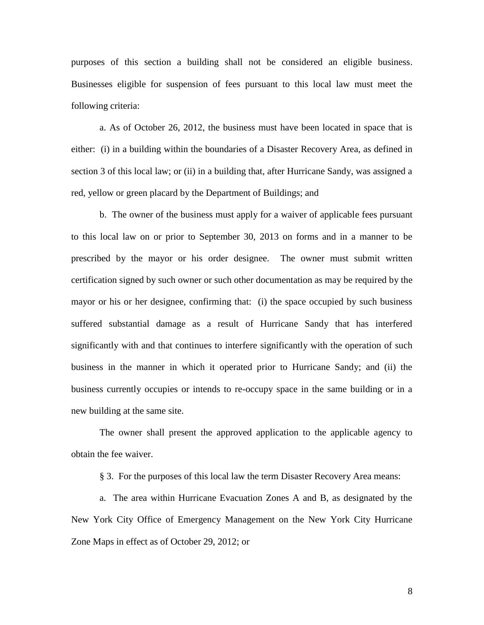purposes of this section a building shall not be considered an eligible business. Businesses eligible for suspension of fees pursuant to this local law must meet the following criteria:

a. As of October 26, 2012, the business must have been located in space that is either: (i) in a building within the boundaries of a Disaster Recovery Area, as defined in section 3 of this local law; or (ii) in a building that, after Hurricane Sandy, was assigned a red, yellow or green placard by the Department of Buildings; and

b. The owner of the business must apply for a waiver of applicable fees pursuant to this local law on or prior to September 30, 2013 on forms and in a manner to be prescribed by the mayor or his order designee. The owner must submit written certification signed by such owner or such other documentation as may be required by the mayor or his or her designee, confirming that: (i) the space occupied by such business suffered substantial damage as a result of Hurricane Sandy that has interfered significantly with and that continues to interfere significantly with the operation of such business in the manner in which it operated prior to Hurricane Sandy; and (ii) the business currently occupies or intends to re-occupy space in the same building or in a new building at the same site.

The owner shall present the approved application to the applicable agency to obtain the fee waiver.

§ 3. For the purposes of this local law the term Disaster Recovery Area means:

a. The area within Hurricane Evacuation Zones A and B, as designated by the New York City Office of Emergency Management on the New York City Hurricane Zone Maps in effect as of October 29, 2012; or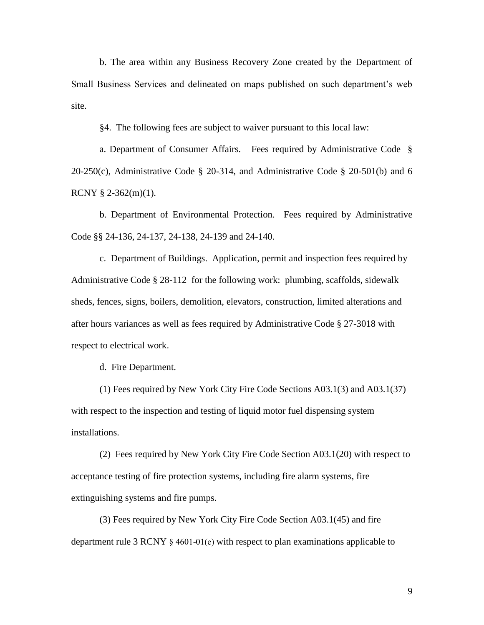b. The area within any Business Recovery Zone created by the Department of Small Business Services and delineated on maps published on such department's web site.

§4. The following fees are subject to waiver pursuant to this local law:

a. Department of Consumer Affairs. Fees required by Administrative Code §  $20-250(c)$ , Administrative Code § 20-314, and Administrative Code § 20-501(b) and 6 RCNY § 2-362(m)(1).

b. Department of Environmental Protection. Fees required by Administrative Code §§ 24-136, 24-137, 24-138, 24-139 and 24-140.

c. Department of Buildings. Application, permit and inspection fees required by Administrative Code § 28-112 for the following work: plumbing, scaffolds, sidewalk sheds, fences, signs, boilers, demolition, elevators, construction, limited alterations and after hours variances as well as fees required by Administrative Code § 27-3018 with respect to electrical work.

d. Fire Department.

(1) Fees required by New York City Fire Code Sections A03.1(3) and A03.1(37) with respect to the inspection and testing of liquid motor fuel dispensing system installations.

(2) Fees required by New York City Fire Code Section A03.1(20) with respect to acceptance testing of fire protection systems, including fire alarm systems, fire extinguishing systems and fire pumps.

(3) Fees required by New York City Fire Code Section A03.1(45) and fire department rule 3 RCNY § 4601-01(e) with respect to plan examinations applicable to